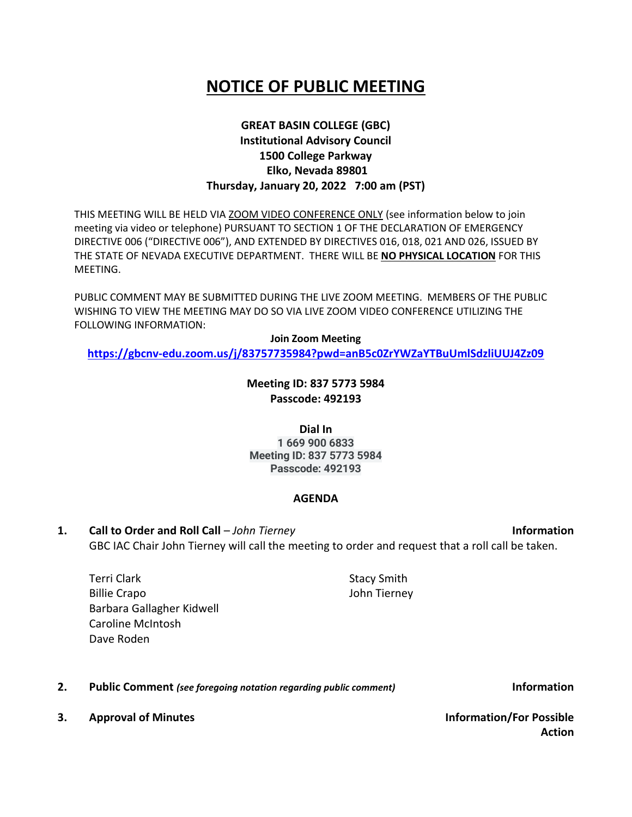## **NOTICE OF PUBLIC MEETING**

## **GREAT BASIN COLLEGE (GBC) Institutional Advisory Council 1500 College Parkway Elko, Nevada 89801 Thursday, January 20, 2022 7:00 am (PST)**

THIS MEETING WILL BE HELD VIA ZOOM VIDEO CONFERENCE ONLY (see information below to join meeting via video or telephone) PURSUANT TO SECTION 1 OF THE DECLARATION OF EMERGENCY DIRECTIVE 006 ("DIRECTIVE 006"), AND EXTENDED BY DIRECTIVES 016, 018, 021 AND 026, ISSUED BY THE STATE OF NEVADA EXECUTIVE DEPARTMENT. THERE WILL BE **NO PHYSICAL LOCATION** FOR THIS MEETING.

PUBLIC COMMENT MAY BE SUBMITTED DURING THE LIVE ZOOM MEETING. MEMBERS OF THE PUBLIC WISHING TO VIEW THE MEETING MAY DO SO VIA LIVE ZOOM VIDEO CONFERENCE UTILIZING THE FOLLOWING INFORMATION:

**Join Zoom Meeting <https://gbcnv-edu.zoom.us/j/83757735984?pwd=anB5c0ZrYWZaYTBuUmlSdzliUUJ4Zz09>**

> **Meeting ID: 837 5773 5984 Passcode: 492193**

**Dial In 1 669 900 6833 Meeting ID: 837 5773 5984 Passcode: 492193**

## **AGENDA**

**1. Call to Order and Roll Call** – *John Tierney* **Information** GBC IAC Chair John Tierney will call the meeting to order and request that a roll call be taken.

Terri Clark Billie Crapo Barbara Gallagher Kidwell Caroline McIntosh Dave Roden

**2. Public Comment** *(see foregoing notation regarding public comment)* **Information**

**3. Approval of Minutes Information/For Possible** 

**Action**

Stacy Smith John Tierney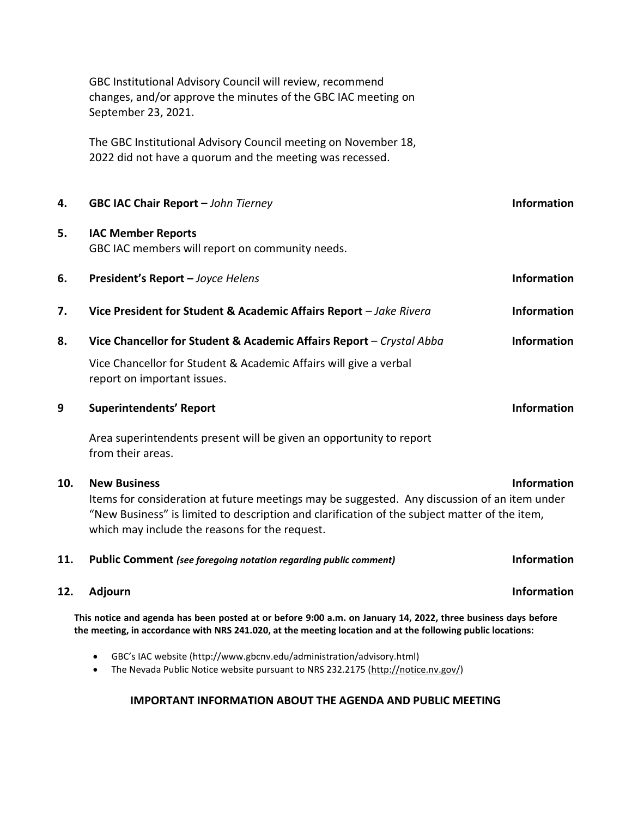|     | GBC Institutional Advisory Council will review, recommend<br>changes, and/or approve the minutes of the GBC IAC meeting on<br>September 23, 2021.                                                                                                                                            |                    |
|-----|----------------------------------------------------------------------------------------------------------------------------------------------------------------------------------------------------------------------------------------------------------------------------------------------|--------------------|
|     | The GBC Institutional Advisory Council meeting on November 18,<br>2022 did not have a quorum and the meeting was recessed.                                                                                                                                                                   |                    |
| 4.  | GBC IAC Chair Report - John Tierney                                                                                                                                                                                                                                                          | <b>Information</b> |
| 5.  | <b>IAC Member Reports</b><br>GBC IAC members will report on community needs.                                                                                                                                                                                                                 |                    |
| 6.  | President's Report - Joyce Helens                                                                                                                                                                                                                                                            | <b>Information</b> |
| 7.  | Vice President for Student & Academic Affairs Report - Jake Rivera                                                                                                                                                                                                                           | <b>Information</b> |
| 8.  | Vice Chancellor for Student & Academic Affairs Report - Crystal Abba                                                                                                                                                                                                                         | <b>Information</b> |
|     | Vice Chancellor for Student & Academic Affairs will give a verbal<br>report on important issues.                                                                                                                                                                                             |                    |
| 9   | <b>Superintendents' Report</b>                                                                                                                                                                                                                                                               | <b>Information</b> |
|     | Area superintendents present will be given an opportunity to report<br>from their areas.                                                                                                                                                                                                     |                    |
| 10. | <b>Information</b><br><b>New Business</b><br>Items for consideration at future meetings may be suggested. Any discussion of an item under<br>"New Business" is limited to description and clarification of the subject matter of the item,<br>which may include the reasons for the request. |                    |
| 11. | Public Comment (see foregoing notation regarding public comment)                                                                                                                                                                                                                             | <b>Information</b> |
| 12. | Adjourn                                                                                                                                                                                                                                                                                      | Information        |
|     | This notice and agenda has been posted at or before 9:00 a.m. on January 14, 2022, three business days before<br>the meeting, in accordance with NRS 241.020, at the meeting location and at the following public locations:                                                                 |                    |
|     | GBC's IAC website (http://www.gbcnv.edu/administration/advisory.html)<br>$\bullet$<br>The Nevada Public Notice website pursuant to NRS 232.2175 (http://notice.nv.gov/)<br>$\bullet$                                                                                                         |                    |

## **IMPORTANT INFORMATION ABOUT THE AGENDA AND PUBLIC MEETING**